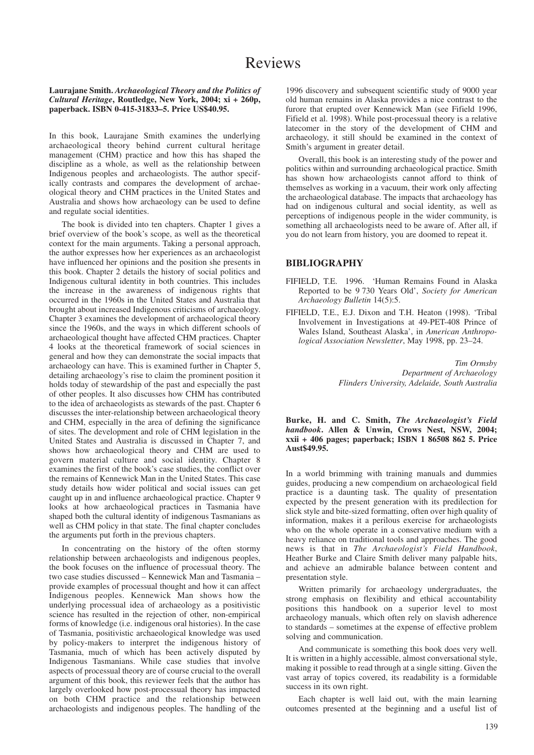## **Laurajane Smith.** *Archaeological Theory and the Politics of Cultural Heritage***, Routledge, New York, 2004; xi + 260p, paperback. ISBN 0-415-31833–5. Price US\$40.95.**

In this book, Laurajane Smith examines the underlying archaeological theory behind current cultural heritage management (CHM) practice and how this has shaped the discipline as a whole, as well as the relationship between Indigenous peoples and archaeologists. The author specifically contrasts and compares the development of archaeological theory and CHM practices in the United States and Australia and shows how archaeology can be used to define and regulate social identities.

The book is divided into ten chapters. Chapter 1 gives a brief overview of the book's scope, as well as the theoretical context for the main arguments. Taking a personal approach, the author expresses how her experiences as an archaeologist have influenced her opinions and the position she presents in this book. Chapter 2 details the history of social politics and Indigenous cultural identity in both countries. This includes the increase in the awareness of indigenous rights that occurred in the 1960s in the United States and Australia that brought about increased Indigenous criticisms of archaeology. Chapter 3 examines the development of archaeological theory since the 1960s, and the ways in which different schools of archaeological thought have affected CHM practices. Chapter 4 looks at the theoretical framework of social sciences in general and how they can demonstrate the social impacts that archaeology can have. This is examined further in Chapter 5, detailing archaeology's rise to claim the prominent position it holds today of stewardship of the past and especially the past of other peoples. It also discusses how CHM has contributed to the idea of archaeologists as stewards of the past. Chapter 6 discusses the inter-relationship between archaeological theory and CHM, especially in the area of defining the significance of sites. The development and role of CHM legislation in the United States and Australia is discussed in Chapter 7, and shows how archaeological theory and CHM are used to govern material culture and social identity. Chapter 8 examines the first of the book's case studies, the conflict over the remains of Kennewick Man in the United States. This case study details how wider political and social issues can get caught up in and influence archaeological practice. Chapter 9 looks at how archaeological practices in Tasmania have shaped both the cultural identity of indigenous Tasmanians as well as CHM policy in that state. The final chapter concludes the arguments put forth in the previous chapters.

In concentrating on the history of the often stormy relationship between archaeologists and indigenous peoples, the book focuses on the influence of processual theory. The two case studies discussed – Kennewick Man and Tasmania – provide examples of processual thought and how it can affect Indigenous peoples. Kennewick Man shows how the underlying processual idea of archaeology as a positivistic science has resulted in the rejection of other, non-empirical forms of knowledge (i.e. indigenous oral histories). In the case of Tasmania, positivistic archaeological knowledge was used by policy-makers to interpret the indigenous history of Tasmania, much of which has been actively disputed by Indigenous Tasmanians. While case studies that involve aspects of processual theory are of course crucial to the overall argument of this book, this reviewer feels that the author has largely overlooked how post-processual theory has impacted on both CHM practice and the relationship between archaeologists and indigenous peoples. The handling of the

1996 discovery and subsequent scientific study of 9000 year old human remains in Alaska provides a nice contrast to the furore that erupted over Kennewick Man (see Fifield 1996, Fifield et al. 1998). While post-processual theory is a relative latecomer in the story of the development of CHM and archaeology, it still should be examined in the context of Smith's argument in greater detail.

Overall, this book is an interesting study of the power and politics within and surrounding archaeological practice. Smith has shown how archaeologists cannot afford to think of themselves as working in a vacuum, their work only affecting the archaeological database. The impacts that archaeology has had on indigenous cultural and social identity, as well as perceptions of indigenous people in the wider community, is something all archaeologists need to be aware of. After all, if you do not learn from history, you are doomed to repeat it.

## **BIBLIOGRAPHY**

- FIFIELD, T.E. 1996. 'Human Remains Found in Alaska Reported to be 9 730 Years Old', *Society for American Archaeology Bulletin* 14(5):5.
- FIFIELD, T.E., E.J. Dixon and T.H. Heaton (1998). 'Tribal Involvement in Investigations at 49-PET-408 Prince of Wales Island, Southeast Alaska', in *American Anthropological Association Newsletter*, May 1998, pp. 23–24.

*Tim Ormsby Department of Archaeology Flinders University, Adelaide, South Australia*

**Burke, H. and C. Smith,** *The Archaeologist's Field handbook***. Allen & Unwin, Crows Nest, NSW, 2004; xxii + 406 pages; paperback; ISBN 1 86508 862 5. Price Aust\$49.95.**

In a world brimming with training manuals and dummies guides, producing a new compendium on archaeological field practice is a daunting task. The quality of presentation expected by the present generation with its predilection for slick style and bite-sized formatting, often over high quality of information, makes it a perilous exercise for archaeologists who on the whole operate in a conservative medium with a heavy reliance on traditional tools and approaches. The good news is that in *The Archaeologist's Field Handbook*, Heather Burke and Claire Smith deliver many palpable hits, and achieve an admirable balance between content and presentation style.

Written primarily for archaeology undergraduates, the strong emphasis on flexibility and ethical accountability positions this handbook on a superior level to most archaeology manuals, which often rely on slavish adherence to standards – sometimes at the expense of effective problem solving and communication.

And communicate is something this book does very well. It is written in a highly accessible, almost conversational style, making it possible to read through at a single sitting. Given the vast array of topics covered, its readability is a formidable success in its own right.

Each chapter is well laid out, with the main learning outcomes presented at the beginning and a useful list of